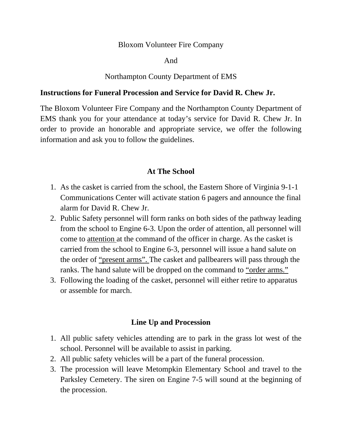#### Bloxom Volunteer Fire Company

#### And

## Northampton County Department of EMS

### **Instructions for Funeral Procession and Service for David R. Chew Jr.**

The Bloxom Volunteer Fire Company and the Northampton County Department of EMS thank you for your attendance at today's service for David R. Chew Jr. In order to provide an honorable and appropriate service, we offer the following information and ask you to follow the guidelines.

# **At The School**

- 1. As the casket is carried from the school, the Eastern Shore of Virginia 9-1-1 Communications Center will activate station 6 pagers and announce the final alarm for David R. Chew Jr.
- 2. Public Safety personnel will form ranks on both sides of the pathway leading from the school to Engine 6-3. Upon the order of attention, all personnel will come to attention at the command of the officer in charge. As the casket is carried from the school to Engine 6-3, personnel will issue a hand salute on the order of "present arms". The casket and pallbearers will pass through the ranks. The hand salute will be dropped on the command to "order arms."
- 3. Following the loading of the casket, personnel will either retire to apparatus or assemble for march.

# **Line Up and Procession**

- 1. All public safety vehicles attending are to park in the grass lot west of the school. Personnel will be available to assist in parking.
- 2. All public safety vehicles will be a part of the funeral procession.
- 3. The procession will leave Metompkin Elementary School and travel to the Parksley Cemetery. The siren on Engine 7-5 will sound at the beginning of the procession.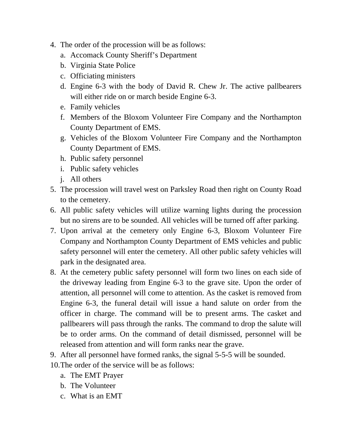- 4. The order of the procession will be as follows:
	- a. Accomack County Sheriff's Department
	- b. Virginia State Police
	- c. Officiating ministers
	- d. Engine 6-3 with the body of David R. Chew Jr. The active pallbearers will either ride on or march beside Engine 6-3.
	- e. Family vehicles
	- f. Members of the Bloxom Volunteer Fire Company and the Northampton County Department of EMS.
	- g. Vehicles of the Bloxom Volunteer Fire Company and the Northampton County Department of EMS.
	- h. Public safety personnel
	- i. Public safety vehicles
	- j. All others
- 5. The procession will travel west on Parksley Road then right on County Road to the cemetery.
- 6. All public safety vehicles will utilize warning lights during the procession but no sirens are to be sounded. All vehicles will be turned off after parking.
- 7. Upon arrival at the cemetery only Engine 6-3, Bloxom Volunteer Fire Company and Northampton County Department of EMS vehicles and public safety personnel will enter the cemetery. All other public safety vehicles will park in the designated area.
- 8. At the cemetery public safety personnel will form two lines on each side of the driveway leading from Engine 6-3 to the grave site. Upon the order of attention, all personnel will come to attention. As the casket is removed from Engine 6-3, the funeral detail will issue a hand salute on order from the officer in charge. The command will be to present arms. The casket and pallbearers will pass through the ranks. The command to drop the salute will be to order arms. On the command of detail dismissed, personnel will be released from attention and will form ranks near the grave.
- 9. After all personnel have formed ranks, the signal 5-5-5 will be sounded.
- 10.The order of the service will be as follows:
	- a. The EMT Prayer
	- b. The Volunteer
	- c. What is an EMT